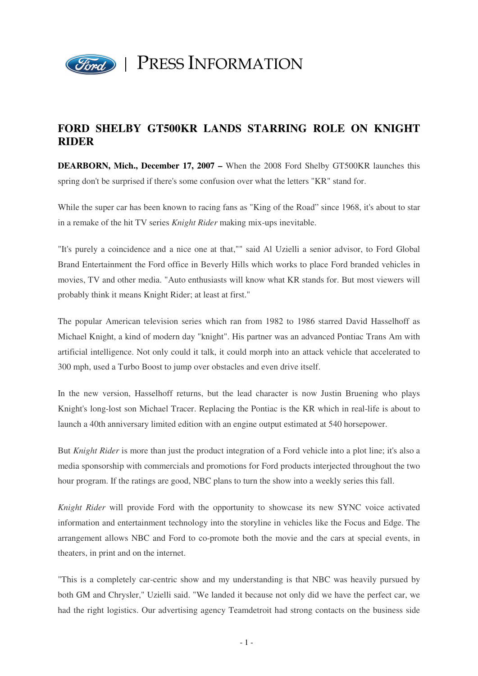

## **FORD SHELBY GT500KR LANDS STARRING ROLE ON KNIGHT RIDER**

**DEARBORN, Mich., December 17, 2007 –** When the 2008 Ford Shelby GT500KR launches this spring don't be surprised if there's some confusion over what the letters "KR" stand for.

While the super car has been known to racing fans as "King of the Road" since 1968, it's about to star in a remake of the hit TV series *Knight Rider* making mix-ups inevitable.

"It's purely a coincidence and a nice one at that,"" said Al Uzielli a senior advisor, to Ford Global Brand Entertainment the Ford office in Beverly Hills which works to place Ford branded vehicles in movies, TV and other media. "Auto enthusiasts will know what KR stands for. But most viewers will probably think it means Knight Rider; at least at first."

The popular American television series which ran from 1982 to 1986 starred David Hasselhoff as Michael Knight, a kind of modern day "knight". His partner was an advanced Pontiac Trans Am with artificial intelligence. Not only could it talk, it could morph into an attack vehicle that accelerated to 300 mph, used a Turbo Boost to jump over obstacles and even drive itself.

In the new version, Hasselhoff returns, but the lead character is now Justin Bruening who plays Knight's long-lost son Michael Tracer. Replacing the Pontiac is the KR which in real-life is about to launch a 40th anniversary limited edition with an engine output estimated at 540 horsepower.

But *Knight Rider* is more than just the product integration of a Ford vehicle into a plot line; it's also a media sponsorship with commercials and promotions for Ford products interjected throughout the two hour program. If the ratings are good, NBC plans to turn the show into a weekly series this fall.

*Knight Rider* will provide Ford with the opportunity to showcase its new SYNC voice activated information and entertainment technology into the storyline in vehicles like the Focus and Edge. The arrangement allows NBC and Ford to co-promote both the movie and the cars at special events, in theaters, in print and on the internet.

"This is a completely car-centric show and my understanding is that NBC was heavily pursued by both GM and Chrysler," Uzielli said. "We landed it because not only did we have the perfect car, we had the right logistics. Our advertising agency Teamdetroit had strong contacts on the business side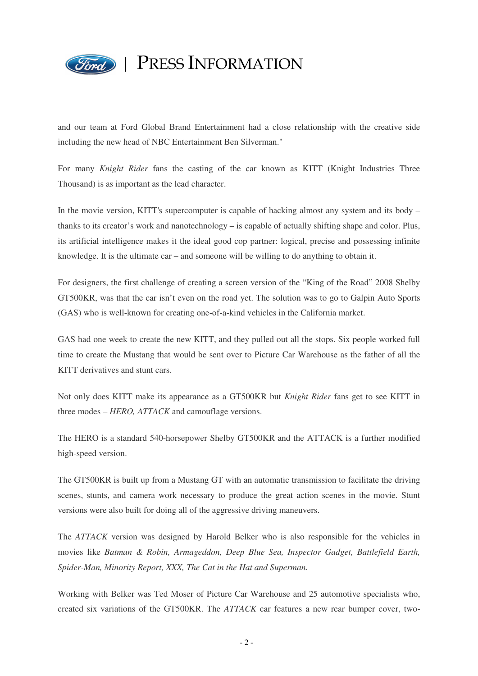

## PRESS INFORMATION

and our team at Ford Global Brand Entertainment had a close relationship with the creative side including the new head of NBC Entertainment Ben Silverman."

For many *Knight Rider* fans the casting of the car known as KITT (Knight Industries Three Thousand) is as important as the lead character.

In the movie version, KITT's supercomputer is capable of hacking almost any system and its body – thanks to its creator's work and nanotechnology – is capable of actually shifting shape and color. Plus, its artificial intelligence makes it the ideal good cop partner: logical, precise and possessing infinite knowledge. It is the ultimate car – and someone will be willing to do anything to obtain it.

For designers, the first challenge of creating a screen version of the "King of the Road" 2008 Shelby GT500KR, was that the car isn't even on the road yet. The solution was to go to Galpin Auto Sports (GAS) who is well-known for creating one-of-a-kind vehicles in the California market.

GAS had one week to create the new KITT, and they pulled out all the stops. Six people worked full time to create the Mustang that would be sent over to Picture Car Warehouse as the father of all the KITT derivatives and stunt cars.

Not only does KITT make its appearance as a GT500KR but *Knight Rider* fans get to see KITT in three modes – *HERO, ATTACK* and camouflage versions.

The HERO is a standard 540-horsepower Shelby GT500KR and the ATTACK is a further modified high-speed version.

The GT500KR is built up from a Mustang GT with an automatic transmission to facilitate the driving scenes, stunts, and camera work necessary to produce the great action scenes in the movie. Stunt versions were also built for doing all of the aggressive driving maneuvers.

The *ATTACK* version was designed by Harold Belker who is also responsible for the vehicles in movies like *Batman & Robin, Armageddon, Deep Blue Sea, Inspector Gadget, Battlefield Earth, Spider-Man, Minority Report, XXX, The Cat in the Hat and Superman.* 

Working with Belker was Ted Moser of Picture Car Warehouse and 25 automotive specialists who, created six variations of the GT500KR. The *ATTACK* car features a new rear bumper cover, two-